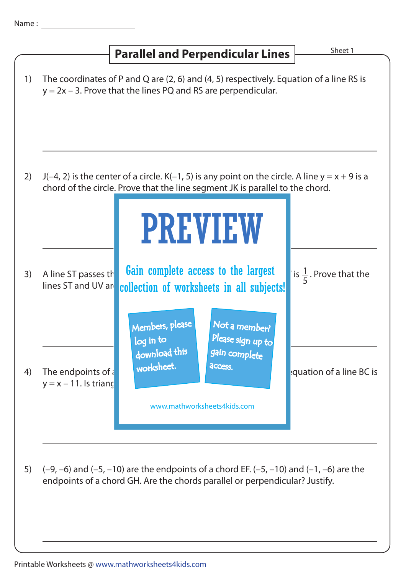## **Parallel and Perpendicular Lines** Marallel and Perpendicular Lines